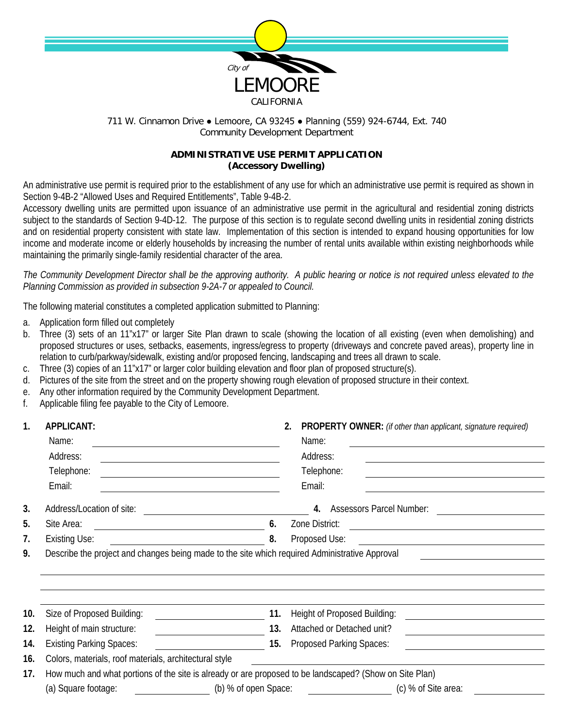

711 W. Cinnamon Drive . Lemoore, CA 93245 . Planning (559) 924-6744, Ext. 740 Community Development Department

## **ADMINISTRATIVE USE PERMIT APPLICATION (Accessory Dwelling)**

An administrative use permit is required prior to the establishment of any use for which an administrative use permit is required as shown in Section 9-4B-2 "Allowed Uses and Required Entitlements", Table 9-4B-2.

Accessory dwelling units are permitted upon issuance of an administrative use permit in the agricultural and residential zoning districts subject to the standards of Section 9-4D-12. The purpose of this section is to regulate second dwelling units in residential zoning districts and on residential property consistent with state law. Implementation of this section is intended to expand housing opportunities for low income and moderate income or elderly households by increasing the number of rental units available within existing neighborhoods while maintaining the primarily single-family residential character of the area.

*The Community Development Director shall be the approving authority. A public hearing or notice is not required unless elevated to the Planning Commission as provided in subsection 9-2A-7 or appealed to Council.*

The following material constitutes a completed application submitted to Planning:

- a. Application form filled out completely
- b. Three (3) sets of an 11"x17" or larger Site Plan drawn to scale (showing the location of all existing (even when demolishing) and proposed structures or uses, setbacks, easements, ingress/egress to property (driveways and concrete paved areas), property line in relation to curb/parkway/sidewalk, existing and/or proposed fencing, landscaping and trees all drawn to scale.
- c. Three (3) copies of an 11"x17" or larger color building elevation and floor plan of proposed structure(s).
- d. Pictures of the site from the street and on the property showing rough elevation of proposed structure in their context.
- e. Any other information required by the Community Development Department.
- f. Applicable filing fee payable to the City of Lemoore.

| $\mathbf{1}$ . | <b>APPLICANT:</b>                                                                                                                                                                                                                                                         |                                                                    | PROPERTY OWNER: (if other than applicant, signature required)                                                                          |  |  |  |
|----------------|---------------------------------------------------------------------------------------------------------------------------------------------------------------------------------------------------------------------------------------------------------------------------|--------------------------------------------------------------------|----------------------------------------------------------------------------------------------------------------------------------------|--|--|--|
|                | Name:                                                                                                                                                                                                                                                                     |                                                                    | Name:                                                                                                                                  |  |  |  |
|                | Address:<br><u> 1989 - Johann Stoff, deutscher Stoffen und der Stoffen und der Stoffen und der Stoffen und der Stoffen und der</u><br>Telephone:<br><u> 1980 - Johann Barn, mars ann an t-Amhain Aonaichte ann an t-Aonaichte ann an t-Aonaichte ann an t-Aonaichte a</u> |                                                                    | Address:                                                                                                                               |  |  |  |
|                |                                                                                                                                                                                                                                                                           |                                                                    | Telephone:                                                                                                                             |  |  |  |
|                | Email:                                                                                                                                                                                                                                                                    |                                                                    | Email:<br><u> 1980 - Johann Barnett, fransk politiker (d. 1980)</u>                                                                    |  |  |  |
| 3.             | Address/Location of site:                                                                                                                                                                                                                                                 |                                                                    | 4. Assessors Parcel Number:                                                                                                            |  |  |  |
| 5.             | Site Area:<br>6.<br><u> 1989 - Johann Barnett, fransk kongresu og den forske forskellige og den forskellige og den forskellige og de</u>                                                                                                                                  |                                                                    | Zone District:<br><u> 2000 - 2000 - 2000 - 2000 - 2000 - 2000 - 2000 - 2000 - 2000 - 2000 - 2000 - 2000 - 2000 - 2000 - 2000 - 200</u> |  |  |  |
| 7.             | <b>Existing Use:</b><br>8.                                                                                                                                                                                                                                                |                                                                    |                                                                                                                                        |  |  |  |
| 9.             | Describe the project and changes being made to the site which required Administrative Approval<br>the control of the control of the control of the control of the control of the control of                                                                               |                                                                    |                                                                                                                                        |  |  |  |
|                |                                                                                                                                                                                                                                                                           |                                                                    |                                                                                                                                        |  |  |  |
|                |                                                                                                                                                                                                                                                                           |                                                                    |                                                                                                                                        |  |  |  |
|                |                                                                                                                                                                                                                                                                           |                                                                    |                                                                                                                                        |  |  |  |
| 10.            | Size of Proposed Building:                                                                                                                                                                                                                                                | 11.                                                                | Height of Proposed Building:<br><u> 1989 - Johann Barn, fransk politik amerikansk politik (</u>                                        |  |  |  |
| 12.            | Height of main structure:<br><u> 1989 - Johann Barbara, martin a</u>                                                                                                                                                                                                      | 13.                                                                | Attached or Detached unit?<br><u> 1989 - Andrea Station Barbara (h. 1989)</u>                                                          |  |  |  |
| 14.            | <b>Existing Parking Spaces:</b>                                                                                                                                                                                                                                           | 15.                                                                | <b>Proposed Parking Spaces:</b>                                                                                                        |  |  |  |
| 16.            | Colors, materials, roof materials, architectural style                                                                                                                                                                                                                    |                                                                    |                                                                                                                                        |  |  |  |
| 17.            | How much and what portions of the site is already or are proposed to be landscaped? (Show on Site Plan)                                                                                                                                                                   |                                                                    |                                                                                                                                        |  |  |  |
|                | (a) Square footage:<br>(b) % of open Space:                                                                                                                                                                                                                               | (c) % of Site area:<br><u> 1990 - Jan Barbara Barat, politik e</u> |                                                                                                                                        |  |  |  |
|                |                                                                                                                                                                                                                                                                           |                                                                    |                                                                                                                                        |  |  |  |